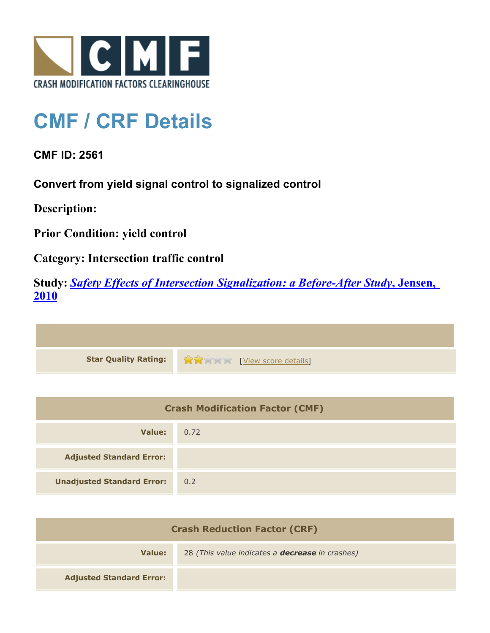

## **CMF / CRF Details**

**CMF ID: 2561**

**Convert from yield signal control to signalized control**

**Description:** 

**Prior Condition: yield control**

**Category: Intersection traffic control**

**Study:** *[Safety Effects of Intersection Signalization: a Before-After Study](http://www.cmfclearinghouse.org/study_detail.cfm?stid=170)***[, Jensen,](http://www.cmfclearinghouse.org/study_detail.cfm?stid=170) [2010](http://www.cmfclearinghouse.org/study_detail.cfm?stid=170)**



| <b>Crash Modification Factor (CMF)</b> |      |
|----------------------------------------|------|
| Value:                                 | 0.72 |
| <b>Adjusted Standard Error:</b>        |      |
| <b>Unadjusted Standard Error:</b>      | 0.2  |

| <b>Crash Reduction Factor (CRF)</b> |                                                        |
|-------------------------------------|--------------------------------------------------------|
| Value:                              | 28 (This value indicates a <b>decrease</b> in crashes) |
| <b>Adjusted Standard Error:</b>     |                                                        |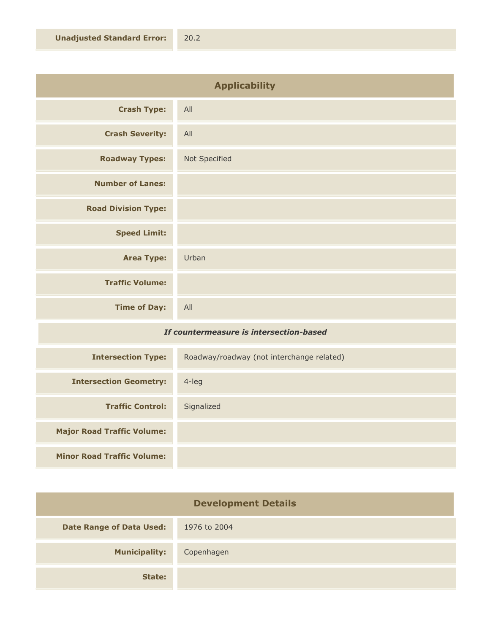| <b>Applicability</b>       |               |
|----------------------------|---------------|
| <b>Crash Type:</b>         | All           |
| <b>Crash Severity:</b>     | All           |
| <b>Roadway Types:</b>      | Not Specified |
| <b>Number of Lanes:</b>    |               |
| <b>Road Division Type:</b> |               |
| <b>Speed Limit:</b>        |               |
| <b>Area Type:</b>          | Urban         |
| <b>Traffic Volume:</b>     |               |
| <b>Time of Day:</b>        | All           |

## *If countermeasure is intersection-based*

| <b>Intersection Type:</b>         | Roadway/roadway (not interchange related) |
|-----------------------------------|-------------------------------------------|
| <b>Intersection Geometry:</b>     | 4-leg                                     |
| <b>Traffic Control:</b>           | Signalized                                |
| <b>Major Road Traffic Volume:</b> |                                           |
| <b>Minor Road Traffic Volume:</b> |                                           |

| <b>Development Details</b>      |              |
|---------------------------------|--------------|
| <b>Date Range of Data Used:</b> | 1976 to 2004 |
| <b>Municipality:</b>            | Copenhagen   |
| State:                          |              |